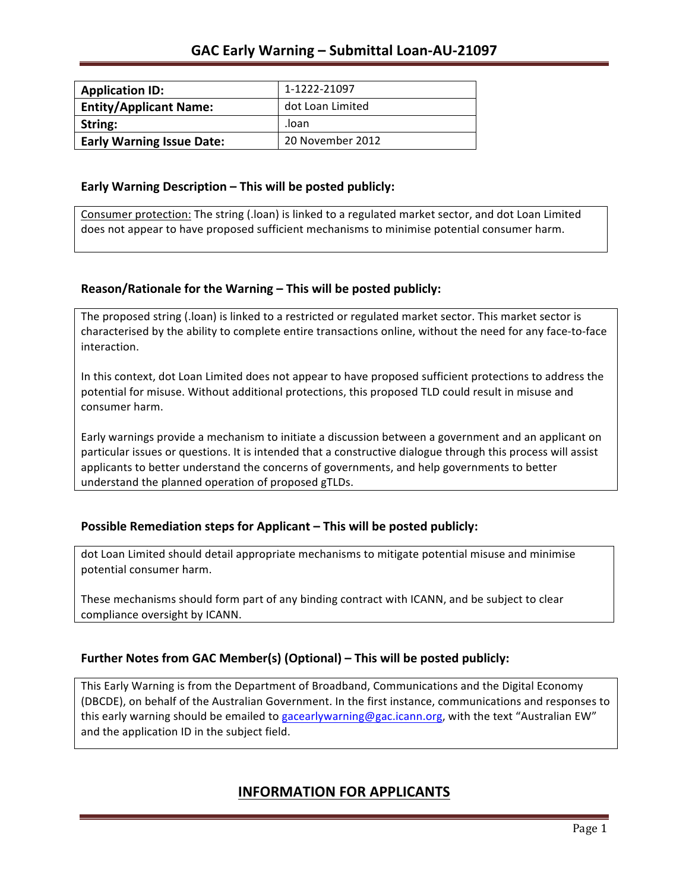| <b>Application ID:</b>           | 1-1222-21097     |
|----------------------------------|------------------|
| <b>Entity/Applicant Name:</b>    | dot Loan Limited |
| String:                          | .loan            |
| <b>Early Warning Issue Date:</b> | 20 November 2012 |

#### **Early Warning Description – This will be posted publicly:**

Consumer protection: The string (.loan) is linked to a regulated market sector, and dot Loan Limited does not appear to have proposed sufficient mechanisms to minimise potential consumer harm.

### **Reason/Rationale for the Warning – This will be posted publicly:**

The proposed string (.loan) is linked to a restricted or regulated market sector. This market sector is characterised by the ability to complete entire transactions online, without the need for any face-to-face interaction.

In this context, dot Loan Limited does not appear to have proposed sufficient protections to address the potential for misuse. Without additional protections, this proposed TLD could result in misuse and consumer harm.

Early warnings provide a mechanism to initiate a discussion between a government and an applicant on particular issues or questions. It is intended that a constructive dialogue through this process will assist applicants to better understand the concerns of governments, and help governments to better understand the planned operation of proposed gTLDs.

### **Possible Remediation steps for Applicant – This will be posted publicly:**

dot Loan Limited should detail appropriate mechanisms to mitigate potential misuse and minimise potential consumer harm.

These mechanisms should form part of any binding contract with ICANN, and be subject to clear compliance oversight by ICANN.

### **Further Notes from GAC Member(s) (Optional)** – This will be posted publicly:

This Early Warning is from the Department of Broadband, Communications and the Digital Economy (DBCDE), on behalf of the Australian Government. In the first instance, communications and responses to this early warning should be emailed to gacearlywarning@gac.icann.org, with the text "Australian EW" and the application ID in the subject field.

### **INFORMATION FOR APPLICANTS**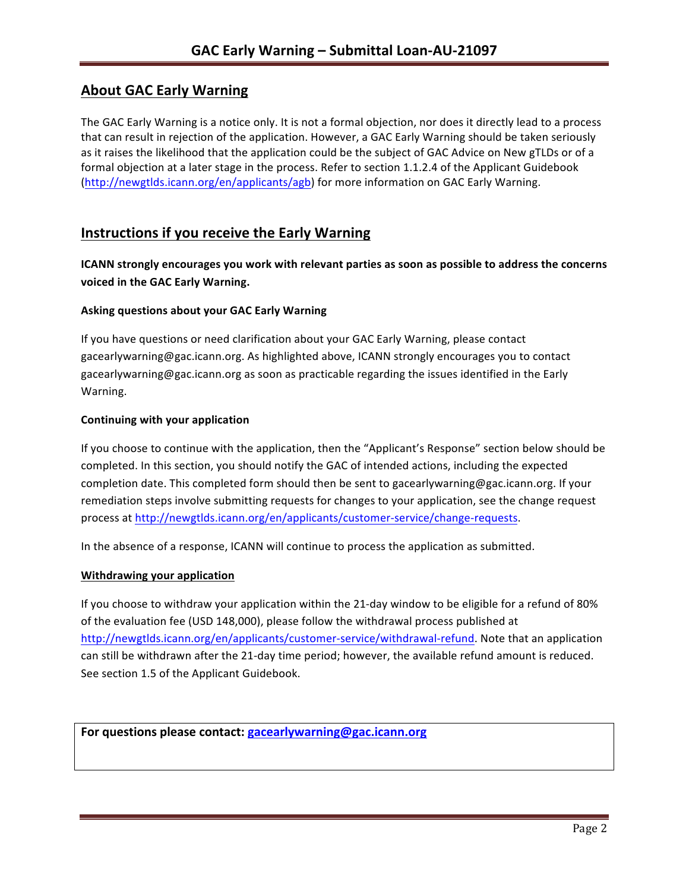# **About GAC Early Warning**

The GAC Early Warning is a notice only. It is not a formal objection, nor does it directly lead to a process that can result in rejection of the application. However, a GAC Early Warning should be taken seriously as it raises the likelihood that the application could be the subject of GAC Advice on New gTLDs or of a formal objection at a later stage in the process. Refer to section 1.1.2.4 of the Applicant Guidebook (http://newgtlds.icann.org/en/applicants/agb) for more information on GAC Early Warning.

# **Instructions if you receive the Early Warning**

**ICANN** strongly encourages you work with relevant parties as soon as possible to address the concerns **voiced in the GAC Early Warning.** 

### **Asking questions about your GAC Early Warning**

If you have questions or need clarification about your GAC Early Warning, please contact gacearlywarning@gac.icann.org. As highlighted above, ICANN strongly encourages you to contact gacearlywarning@gac.icann.org as soon as practicable regarding the issues identified in the Early Warning. 

#### **Continuing with your application**

If you choose to continue with the application, then the "Applicant's Response" section below should be completed. In this section, you should notify the GAC of intended actions, including the expected completion date. This completed form should then be sent to gacearlywarning@gac.icann.org. If your remediation steps involve submitting requests for changes to your application, see the change request process at http://newgtlds.icann.org/en/applicants/customer-service/change-requests.

In the absence of a response, ICANN will continue to process the application as submitted.

#### **Withdrawing your application**

If you choose to withdraw your application within the 21-day window to be eligible for a refund of 80% of the evaluation fee (USD 148,000), please follow the withdrawal process published at http://newgtlds.icann.org/en/applicants/customer-service/withdrawal-refund. Note that an application can still be withdrawn after the 21-day time period; however, the available refund amount is reduced. See section 1.5 of the Applicant Guidebook.

For questions please contact: gacearlywarning@gac.icann.org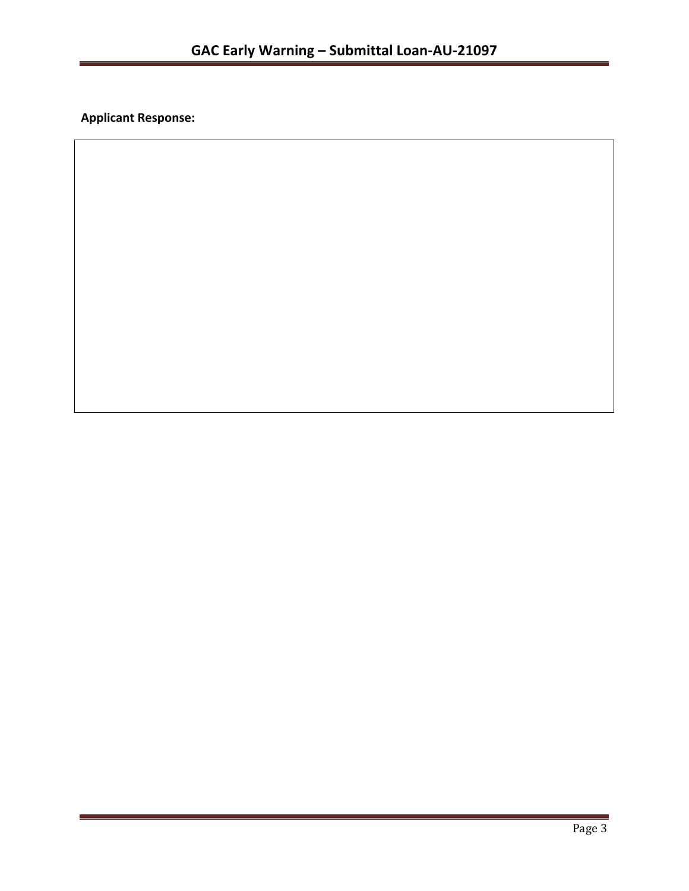**Applicant Response:**